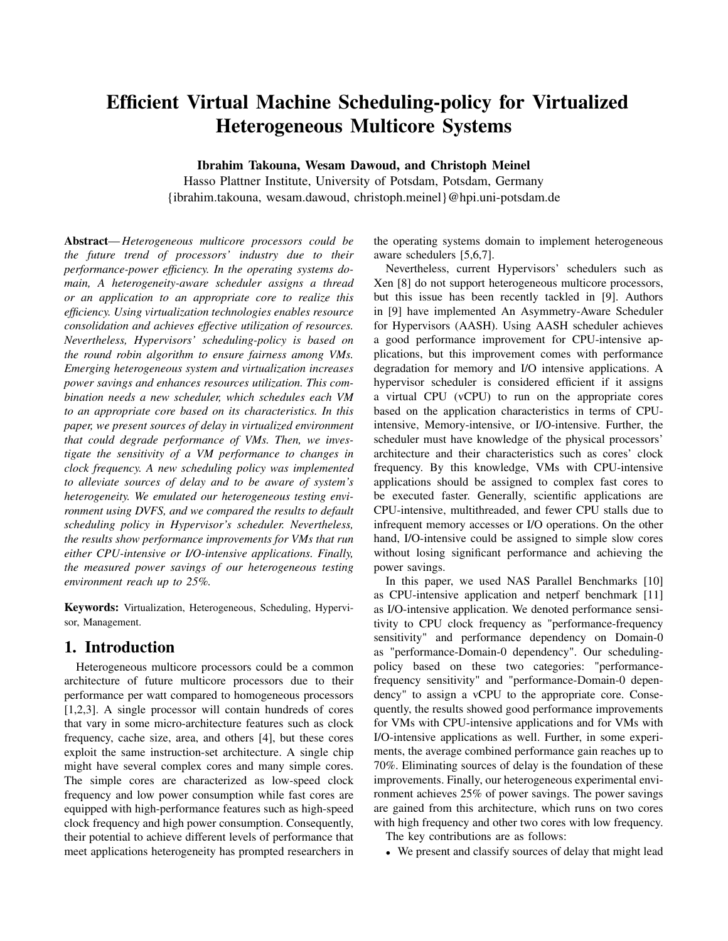# Efficient Virtual Machine Scheduling-policy for Virtualized Heterogeneous Multicore Systems

Ibrahim Takouna, Wesam Dawoud, and Christoph Meinel

Hasso Plattner Institute, University of Potsdam, Potsdam, Germany {ibrahim.takouna, wesam.dawoud, christoph.meinel}@hpi.uni-potsdam.de

Abstract—*Heterogeneous multicore processors could be the future trend of processors' industry due to their performance-power efficiency. In the operating systems domain, A heterogeneity-aware scheduler assigns a thread or an application to an appropriate core to realize this efficiency. Using virtualization technologies enables resource consolidation and achieves effective utilization of resources. Nevertheless, Hypervisors' scheduling-policy is based on the round robin algorithm to ensure fairness among VMs. Emerging heterogeneous system and virtualization increases power savings and enhances resources utilization. This combination needs a new scheduler, which schedules each VM to an appropriate core based on its characteristics. In this paper, we present sources of delay in virtualized environment that could degrade performance of VMs. Then, we investigate the sensitivity of a VM performance to changes in clock frequency. A new scheduling policy was implemented to alleviate sources of delay and to be aware of system's heterogeneity. We emulated our heterogeneous testing environment using DVFS, and we compared the results to default scheduling policy in Hypervisor's scheduler. Nevertheless, the results show performance improvements for VMs that run either CPU-intensive or I/O-intensive applications. Finally, the measured power savings of our heterogeneous testing environment reach up to 25%.*

Keywords: Virtualization, Heterogeneous, Scheduling, Hypervisor, Management.

# 1. Introduction

Heterogeneous multicore processors could be a common architecture of future multicore processors due to their performance per watt compared to homogeneous processors [1,2,3]. A single processor will contain hundreds of cores that vary in some micro-architecture features such as clock frequency, cache size, area, and others [4], but these cores exploit the same instruction-set architecture. A single chip might have several complex cores and many simple cores. The simple cores are characterized as low-speed clock frequency and low power consumption while fast cores are equipped with high-performance features such as high-speed clock frequency and high power consumption. Consequently, their potential to achieve different levels of performance that meet applications heterogeneity has prompted researchers in

the operating systems domain to implement heterogeneous aware schedulers [5,6,7].

Nevertheless, current Hypervisors' schedulers such as Xen [8] do not support heterogeneous multicore processors, but this issue has been recently tackled in [9]. Authors in [9] have implemented An Asymmetry-Aware Scheduler for Hypervisors (AASH). Using AASH scheduler achieves a good performance improvement for CPU-intensive applications, but this improvement comes with performance degradation for memory and I/O intensive applications. A hypervisor scheduler is considered efficient if it assigns a virtual CPU (vCPU) to run on the appropriate cores based on the application characteristics in terms of CPUintensive, Memory-intensive, or I/O-intensive. Further, the scheduler must have knowledge of the physical processors' architecture and their characteristics such as cores' clock frequency. By this knowledge, VMs with CPU-intensive applications should be assigned to complex fast cores to be executed faster. Generally, scientific applications are CPU-intensive, multithreaded, and fewer CPU stalls due to infrequent memory accesses or I/O operations. On the other hand, I/O-intensive could be assigned to simple slow cores without losing significant performance and achieving the power savings.

In this paper, we used NAS Parallel Benchmarks [10] as CPU-intensive application and netperf benchmark [11] as I/O-intensive application. We denoted performance sensitivity to CPU clock frequency as "performance-frequency sensitivity" and performance dependency on Domain-0 as "performance-Domain-0 dependency". Our schedulingpolicy based on these two categories: "performancefrequency sensitivity" and "performance-Domain-0 dependency" to assign a vCPU to the appropriate core. Consequently, the results showed good performance improvements for VMs with CPU-intensive applications and for VMs with I/O-intensive applications as well. Further, in some experiments, the average combined performance gain reaches up to 70%. Eliminating sources of delay is the foundation of these improvements. Finally, our heterogeneous experimental environment achieves 25% of power savings. The power savings are gained from this architecture, which runs on two cores with high frequency and other two cores with low frequency.

The key contributions are as follows:

• We present and classify sources of delay that might lead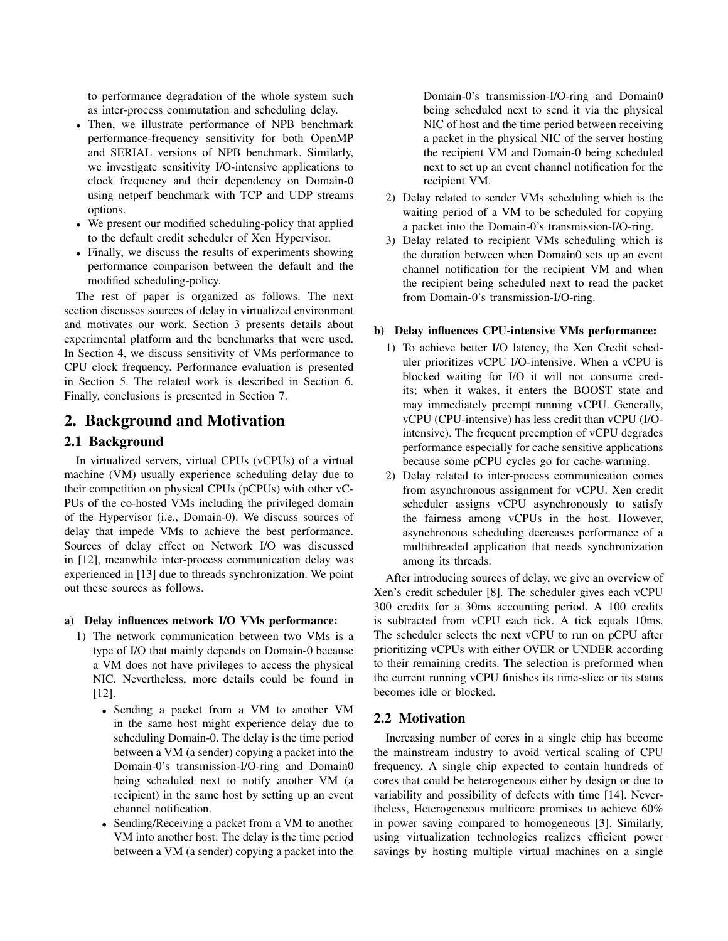to performance degradation of the whole system such as inter-process commutation and scheduling delay.

- Then, we illustrate performance of NPB benchmark performance-frequency sensitivity for both OpenMP and SERIAL versions of NPB benchmark. Similarly, we investigate sensitivity I/O-intensive applications to clock frequency and their dependency on Domain-0 using netperf benchmark with TCP and UDP streams options.
- We present our modified scheduling-policy that applied to the default credit scheduler of Xen Hypervisor.
- Finally, we discuss the results of experiments showing performance comparison between the default and the modified scheduling-policy.

The rest of paper is organized as follows. The next section discusses sources of delay in virtualized environment and motivates our work. Section 3 presents details about experimental platform and the benchmarks that were used. In Section 4, we discuss sensitivity of VMs performance to CPU clock frequency. Performance evaluation is presented in Section 5. The related work is described in Section 6. Finally, conclusions is presented in Section 7.

# 2. Background and Motivation

# 2.1 Background

In virtualized servers, virtual CPUs (vCPUs) of a virtual machine (VM) usually experience scheduling delay due to their competition on physical CPUs (pCPUs) with other vC-PUs of the co-hosted VMs including the privileged domain of the Hypervisor (i.e., Domain-0). We discuss sources of delay that impede VMs to achieve the best performance. Sources of delay effect on Network I/O was discussed in [12], meanwhile inter-process communication delay was experienced in [13] due to threads synchronization. We point out these sources as follows.

#### a) Delay influences network I/O VMs performance:

- 1) The network communication between two VMs is a type of I/O that mainly depends on Domain-0 because a VM does not have privileges to access the physical NIC. Nevertheless, more details could be found in [12].
	- Sending a packet from a VM to another VM in the same host might experience delay due to scheduling Domain-0. The delay is the time period between a VM (a sender) copying a packet into the Domain-0's transmission-I/O-ring and Domain0 being scheduled next to notify another VM (a recipient) in the same host by setting up an event channel notification.
	- Sending/Receiving a packet from a VM to another VM into another host: The delay is the time period between a VM (a sender) copying a packet into the

Domain-0's transmission-I/O-ring and Domain0 being scheduled next to send it via the physical NIC of host and the time period between receiving a packet in the physical NIC of the server hosting the recipient VM and Domain-0 being scheduled next to set up an event channel notification for the recipient VM.

- 2) Delay related to sender VMs scheduling which is the waiting period of a VM to be scheduled for copying a packet into the Domain-0's transmission-I/O-ring.
- 3) Delay related to recipient VMs scheduling which is the duration between when Domain0 sets up an event channel notification for the recipient VM and when the recipient being scheduled next to read the packet from Domain-0's transmission-I/O-ring.

#### b) Delay influences CPU-intensive VMs performance:

- 1) To achieve better I/O latency, the Xen Credit scheduler prioritizes vCPU I/O-intensive. When a vCPU is blocked waiting for I/O it will not consume credits; when it wakes, it enters the BOOST state and may immediately preempt running vCPU. Generally, vCPU (CPU-intensive) has less credit than vCPU (I/Ointensive). The frequent preemption of vCPU degrades performance especially for cache sensitive applications because some pCPU cycles go for cache-warming.
- 2) Delay related to inter-process communication comes from asynchronous assignment for vCPU. Xen credit scheduler assigns vCPU asynchronously to satisfy the fairness among vCPUs in the host. However, asynchronous scheduling decreases performance of a multithreaded application that needs synchronization among its threads.

After introducing sources of delay, we give an overview of Xen's credit scheduler [8]. The scheduler gives each vCPU 300 credits for a 30ms accounting period. A 100 credits is subtracted from vCPU each tick. A tick equals 10ms. The scheduler selects the next vCPU to run on pCPU after prioritizing vCPUs with either OVER or UNDER according to their remaining credits. The selection is preformed when the current running vCPU finishes its time-slice or its status becomes idle or blocked.

# 2.2 Motivation

Increasing number of cores in a single chip has become the mainstream industry to avoid vertical scaling of CPU frequency. A single chip expected to contain hundreds of cores that could be heterogeneous either by design or due to variability and possibility of defects with time [14]. Nevertheless, Heterogeneous multicore promises to achieve 60% in power saving compared to homogeneous [3]. Similarly, using virtualization technologies realizes efficient power savings by hosting multiple virtual machines on a single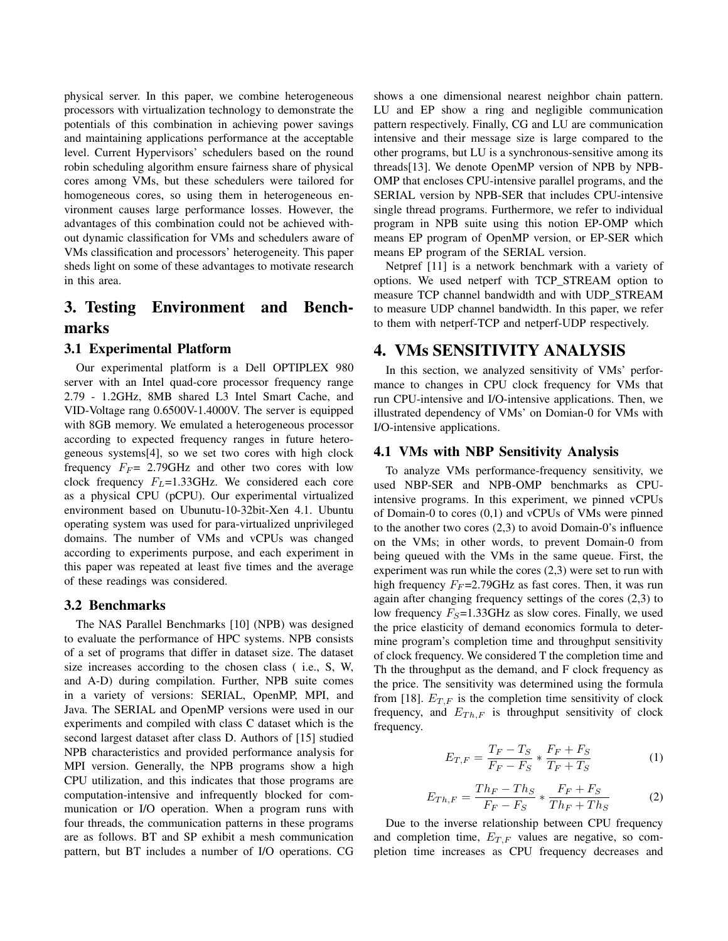physical server. In this paper, we combine heterogeneous processors with virtualization technology to demonstrate the potentials of this combination in achieving power savings and maintaining applications performance at the acceptable level. Current Hypervisors' schedulers based on the round robin scheduling algorithm ensure fairness share of physical cores among VMs, but these schedulers were tailored for homogeneous cores, so using them in heterogeneous environment causes large performance losses. However, the advantages of this combination could not be achieved without dynamic classification for VMs and schedulers aware of VMs classification and processors' heterogeneity. This paper sheds light on some of these advantages to motivate research in this area.

# 3. Testing Environment and Benchmarks

#### 3.1 Experimental Platform

Our experimental platform is a Dell OPTIPLEX 980 server with an Intel quad-core processor frequency range 2.79 - 1.2GHz, 8MB shared L3 Intel Smart Cache, and VID-Voltage rang 0.6500V-1.4000V. The server is equipped with 8GB memory. We emulated a heterogeneous processor according to expected frequency ranges in future heterogeneous systems[4], so we set two cores with high clock frequency  $F_F$  = 2.79GHz and other two cores with low clock frequency  $F_L$ =1.33GHz. We considered each core as a physical CPU (pCPU). Our experimental virtualized environment based on Ubunutu-10-32bit-Xen 4.1. Ubuntu operating system was used for para-virtualized unprivileged domains. The number of VMs and vCPUs was changed according to experiments purpose, and each experiment in this paper was repeated at least five times and the average of these readings was considered.

#### 3.2 Benchmarks

The NAS Parallel Benchmarks [10] (NPB) was designed to evaluate the performance of HPC systems. NPB consists of a set of programs that differ in dataset size. The dataset size increases according to the chosen class ( i.e., S, W, and A-D) during compilation. Further, NPB suite comes in a variety of versions: SERIAL, OpenMP, MPI, and Java. The SERIAL and OpenMP versions were used in our experiments and compiled with class C dataset which is the second largest dataset after class D. Authors of [15] studied NPB characteristics and provided performance analysis for MPI version. Generally, the NPB programs show a high CPU utilization, and this indicates that those programs are computation-intensive and infrequently blocked for communication or I/O operation. When a program runs with four threads, the communication patterns in these programs are as follows. BT and SP exhibit a mesh communication pattern, but BT includes a number of I/O operations. CG shows a one dimensional nearest neighbor chain pattern. LU and EP show a ring and negligible communication pattern respectively. Finally, CG and LU are communication intensive and their message size is large compared to the other programs, but LU is a synchronous-sensitive among its threads[13]. We denote OpenMP version of NPB by NPB-OMP that encloses CPU-intensive parallel programs, and the SERIAL version by NPB-SER that includes CPU-intensive single thread programs. Furthermore, we refer to individual program in NPB suite using this notion EP-OMP which means EP program of OpenMP version, or EP-SER which means EP program of the SERIAL version.

Netpref [11] is a network benchmark with a variety of options. We used netperf with TCP\_STREAM option to measure TCP channel bandwidth and with UDP\_STREAM to measure UDP channel bandwidth. In this paper, we refer to them with netperf-TCP and netperf-UDP respectively.

# 4. VMs SENSITIVITY ANALYSIS

In this section, we analyzed sensitivity of VMs' performance to changes in CPU clock frequency for VMs that run CPU-intensive and I/O-intensive applications. Then, we illustrated dependency of VMs' on Domian-0 for VMs with I/O-intensive applications.

#### 4.1 VMs with NBP Sensitivity Analysis

To analyze VMs performance-frequency sensitivity, we used NBP-SER and NPB-OMP benchmarks as CPUintensive programs. In this experiment, we pinned vCPUs of Domain-0 to cores (0,1) and vCPUs of VMs were pinned to the another two cores (2,3) to avoid Domain-0's influence on the VMs; in other words, to prevent Domain-0 from being queued with the VMs in the same queue. First, the experiment was run while the cores (2,3) were set to run with high frequency  $F_F$ =2.79GHz as fast cores. Then, it was run again after changing frequency settings of the cores (2,3) to low frequency  $F_S$ =1.33GHz as slow cores. Finally, we used the price elasticity of demand economics formula to determine program's completion time and throughput sensitivity of clock frequency. We considered T the completion time and Th the throughput as the demand, and F clock frequency as the price. The sensitivity was determined using the formula from [18].  $E_{T,F}$  is the completion time sensitivity of clock frequency, and  $E_{Th,F}$  is throughput sensitivity of clock frequency.

$$
E_{T,F} = \frac{T_F - T_S}{F_F - F_S} * \frac{F_F + F_S}{T_F + T_S}
$$
 (1)

$$
E_{Th,F} = \frac{Th_F - Th_S}{F_F - F_S} \ast \frac{F_F + F_S}{Th_F + Th_S} \tag{2}
$$

Due to the inverse relationship between CPU frequency and completion time,  $E_{T,F}$  values are negative, so completion time increases as CPU frequency decreases and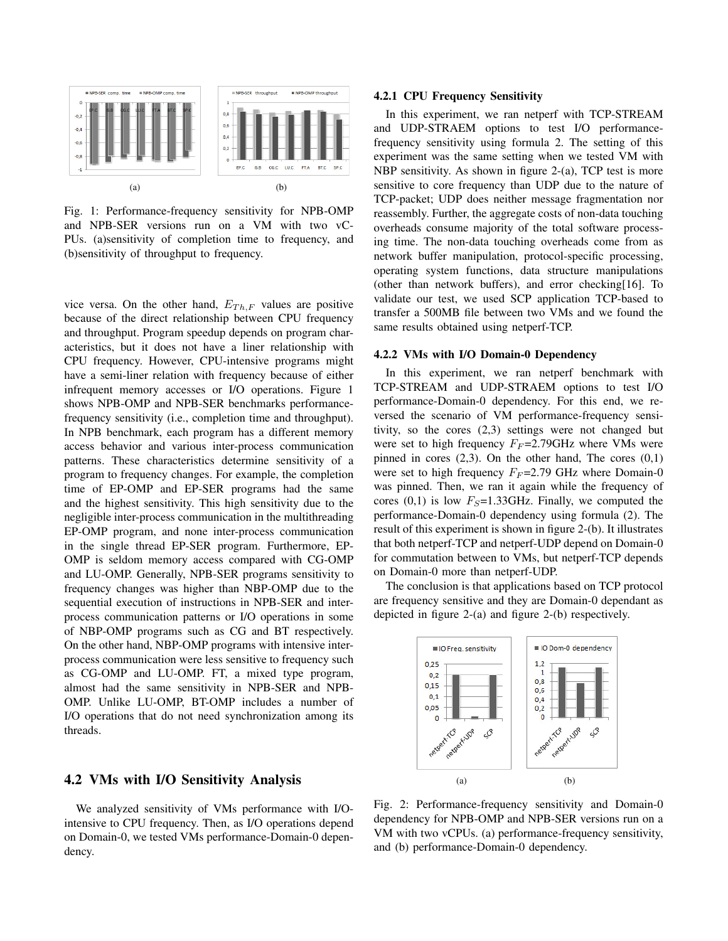

Fig. 1: Performance-frequency sensitivity for NPB-OMP and NPB-SER versions run on a VM with two vC-PUs. (a)sensitivity of completion time to frequency, and (b)sensitivity of throughput to frequency.

vice versa. On the other hand,  $E_{Th,F}$  values are positive because of the direct relationship between CPU frequency and throughput. Program speedup depends on program characteristics, but it does not have a liner relationship with CPU frequency. However, CPU-intensive programs might have a semi-liner relation with frequency because of either infrequent memory accesses or I/O operations. Figure 1 shows NPB-OMP and NPB-SER benchmarks performancefrequency sensitivity (i.e., completion time and throughput). In NPB benchmark, each program has a different memory access behavior and various inter-process communication patterns. These characteristics determine sensitivity of a program to frequency changes. For example, the completion time of EP-OMP and EP-SER programs had the same and the highest sensitivity. This high sensitivity due to the negligible inter-process communication in the multithreading EP-OMP program, and none inter-process communication in the single thread EP-SER program. Furthermore, EP-OMP is seldom memory access compared with CG-OMP and LU-OMP. Generally, NPB-SER programs sensitivity to frequency changes was higher than NBP-OMP due to the sequential execution of instructions in NPB-SER and interprocess communication patterns or I/O operations in some of NBP-OMP programs such as CG and BT respectively. On the other hand, NBP-OMP programs with intensive interprocess communication were less sensitive to frequency such as CG-OMP and LU-OMP. FT, a mixed type program, almost had the same sensitivity in NPB-SER and NPB-OMP. Unlike LU-OMP, BT-OMP includes a number of I/O operations that do not need synchronization among its threads.

#### 4.2 VMs with I/O Sensitivity Analysis

We analyzed sensitivity of VMs performance with I/Ointensive to CPU frequency. Then, as I/O operations depend on Domain-0, we tested VMs performance-Domain-0 dependency.

#### 4.2.1 CPU Frequency Sensitivity

In this experiment, we ran netperf with TCP-STREAM and UDP-STRAEM options to test I/O performancefrequency sensitivity using formula 2. The setting of this experiment was the same setting when we tested VM with NBP sensitivity. As shown in figure 2-(a), TCP test is more sensitive to core frequency than UDP due to the nature of TCP-packet; UDP does neither message fragmentation nor reassembly. Further, the aggregate costs of non-data touching overheads consume majority of the total software processing time. The non-data touching overheads come from as network buffer manipulation, protocol-specific processing, operating system functions, data structure manipulations (other than network buffers), and error checking[16]. To validate our test, we used SCP application TCP-based to transfer a 500MB file between two VMs and we found the same results obtained using netperf-TCP.

#### 4.2.2 VMs with I/O Domain-0 Dependency

In this experiment, we ran netperf benchmark with TCP-STREAM and UDP-STRAEM options to test I/O performance-Domain-0 dependency. For this end, we reversed the scenario of VM performance-frequency sensitivity, so the cores (2,3) settings were not changed but were set to high frequency  $F_F = 2.79 \text{GHz}$  where VMs were pinned in cores  $(2,3)$ . On the other hand, The cores  $(0,1)$ were set to high frequency  $F_F = 2.79$  GHz where Domain-0 was pinned. Then, we ran it again while the frequency of cores  $(0,1)$  is low  $F<sub>S</sub>=1.33$ GHz. Finally, we computed the performance-Domain-0 dependency using formula (2). The result of this experiment is shown in figure 2-(b). It illustrates that both netperf-TCP and netperf-UDP depend on Domain-0 for commutation between to VMs, but netperf-TCP depends on Domain-0 more than netperf-UDP.

The conclusion is that applications based on TCP protocol are frequency sensitive and they are Domain-0 dependant as depicted in figure 2-(a) and figure 2-(b) respectively.



Fig. 2: Performance-frequency sensitivity and Domain-0 dependency for NPB-OMP and NPB-SER versions run on a VM with two vCPUs. (a) performance-frequency sensitivity, and (b) performance-Domain-0 dependency.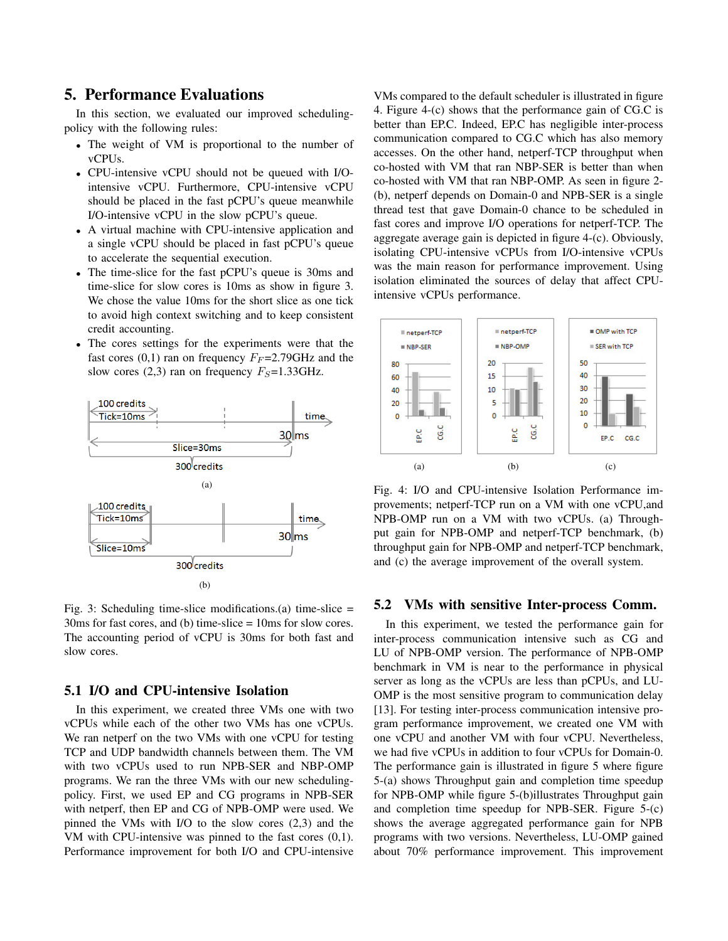# 5. Performance Evaluations

In this section, we evaluated our improved schedulingpolicy with the following rules:

- The weight of VM is proportional to the number of vCPUs.
- CPU-intensive vCPU should not be queued with I/Ointensive vCPU. Furthermore, CPU-intensive vCPU should be placed in the fast pCPU's queue meanwhile I/O-intensive vCPU in the slow pCPU's queue.
- A virtual machine with CPU-intensive application and a single vCPU should be placed in fast pCPU's queue to accelerate the sequential execution.
- The time-slice for the fast pCPU's queue is 30ms and time-slice for slow cores is 10ms as show in figure 3. We chose the value 10ms for the short slice as one tick to avoid high context switching and to keep consistent credit accounting.
- The cores settings for the experiments were that the fast cores (0,1) ran on frequency  $F_F$ =2.79GHz and the slow cores (2,3) ran on frequency  $F_S$ =1.33GHz.



Fig. 3: Scheduling time-slice modifications.(a) time-slice  $=$ 30ms for fast cores, and (b) time-slice = 10ms for slow cores. The accounting period of vCPU is 30ms for both fast and slow cores.

### 5.1 I/O and CPU-intensive Isolation

In this experiment, we created three VMs one with two vCPUs while each of the other two VMs has one vCPUs. We ran netperf on the two VMs with one vCPU for testing TCP and UDP bandwidth channels between them. The VM with two vCPUs used to run NPB-SER and NBP-OMP programs. We ran the three VMs with our new schedulingpolicy. First, we used EP and CG programs in NPB-SER with netperf, then EP and CG of NPB-OMP were used. We pinned the VMs with I/O to the slow cores (2,3) and the VM with CPU-intensive was pinned to the fast cores (0,1). Performance improvement for both I/O and CPU-intensive VMs compared to the default scheduler is illustrated in figure 4. Figure 4-(c) shows that the performance gain of CG.C is better than EP.C. Indeed, EP.C has negligible inter-process communication compared to CG.C which has also memory accesses. On the other hand, netperf-TCP throughput when co-hosted with VM that ran NBP-SER is better than when co-hosted with VM that ran NBP-OMP. As seen in figure 2- (b), netperf depends on Domain-0 and NPB-SER is a single thread test that gave Domain-0 chance to be scheduled in fast cores and improve I/O operations for netperf-TCP. The aggregate average gain is depicted in figure 4-(c). Obviously, isolating CPU-intensive vCPUs from I/O-intensive vCPUs was the main reason for performance improvement. Using isolation eliminated the sources of delay that affect CPUintensive vCPUs performance.



Fig. 4: I/O and CPU-intensive Isolation Performance improvements; netperf-TCP run on a VM with one vCPU,and NPB-OMP run on a VM with two vCPUs. (a) Throughput gain for NPB-OMP and netperf-TCP benchmark, (b) throughput gain for NPB-OMP and netperf-TCP benchmark, and (c) the average improvement of the overall system.

#### 5.2 VMs with sensitive Inter-process Comm.

In this experiment, we tested the performance gain for inter-process communication intensive such as CG and LU of NPB-OMP version. The performance of NPB-OMP benchmark in VM is near to the performance in physical server as long as the vCPUs are less than pCPUs, and LU-OMP is the most sensitive program to communication delay [13]. For testing inter-process communication intensive program performance improvement, we created one VM with one vCPU and another VM with four vCPU. Nevertheless, we had five vCPUs in addition to four vCPUs for Domain-0. The performance gain is illustrated in figure 5 where figure 5-(a) shows Throughput gain and completion time speedup for NPB-OMP while figure 5-(b)illustrates Throughput gain and completion time speedup for NPB-SER. Figure 5-(c) shows the average aggregated performance gain for NPB programs with two versions. Nevertheless, LU-OMP gained about 70% performance improvement. This improvement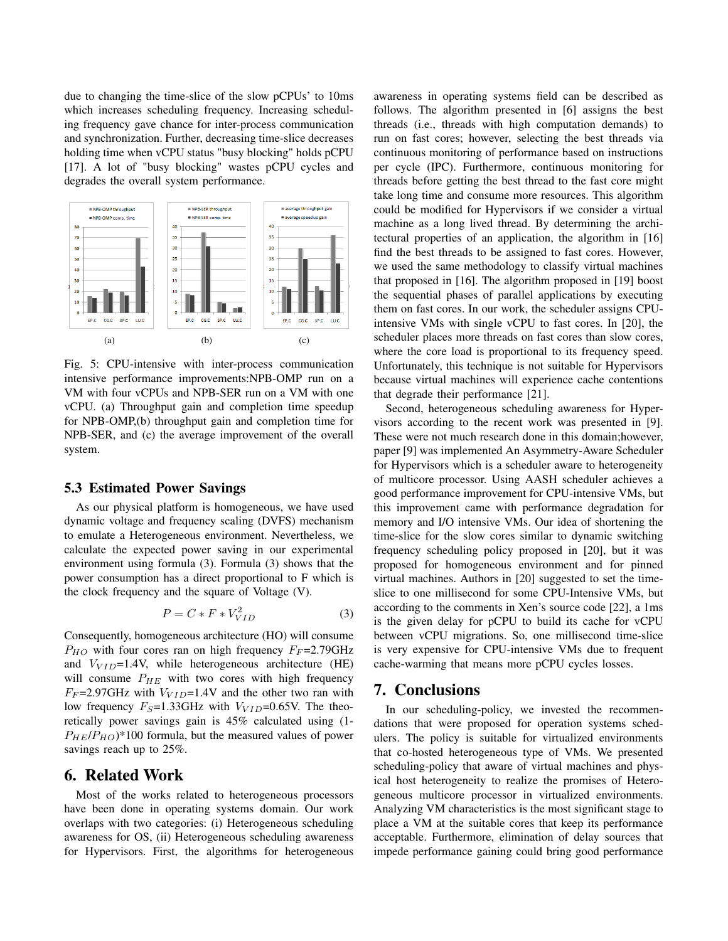due to changing the time-slice of the slow pCPUs' to 10ms which increases scheduling frequency. Increasing scheduling frequency gave chance for inter-process communication and synchronization. Further, decreasing time-slice decreases holding time when vCPU status "busy blocking" holds pCPU [17]. A lot of "busy blocking" wastes pCPU cycles and degrades the overall system performance.



Fig. 5: CPU-intensive with inter-process communication intensive performance improvements:NPB-OMP run on a VM with four vCPUs and NPB-SER run on a VM with one vCPU. (a) Throughput gain and completion time speedup for NPB-OMP,(b) throughput gain and completion time for NPB-SER, and (c) the average improvement of the overall system.

#### 5.3 Estimated Power Savings

As our physical platform is homogeneous, we have used dynamic voltage and frequency scaling (DVFS) mechanism to emulate a Heterogeneous environment. Nevertheless, we calculate the expected power saving in our experimental environment using formula (3). Formula (3) shows that the power consumption has a direct proportional to F which is the clock frequency and the square of Voltage (V).

$$
P = C \ast F \ast V_{VID}^2 \tag{3}
$$

Consequently, homogeneous architecture (HO) will consume  $P_{HO}$  with four cores ran on high frequency  $F_F$ =2.79GHz and  $V_{VID}$ =1.4V, while heterogeneous architecture (HE) will consume  $P_{HE}$  with two cores with high frequency  $F_F$ =2.97GHz with  $V_{VID}$ =1.4V and the other two ran with low frequency  $F_S$ =1.33GHz with  $V_{VID}$ =0.65V. The theoretically power savings gain is 45% calculated using (1-  $P_{HE}/P_{HO}$ <sup>\*</sup>100 formula, but the measured values of power savings reach up to 25%.

# 6. Related Work

Most of the works related to heterogeneous processors have been done in operating systems domain. Our work overlaps with two categories: (i) Heterogeneous scheduling awareness for OS, (ii) Heterogeneous scheduling awareness for Hypervisors. First, the algorithms for heterogeneous awareness in operating systems field can be described as follows. The algorithm presented in [6] assigns the best threads (i.e., threads with high computation demands) to run on fast cores; however, selecting the best threads via continuous monitoring of performance based on instructions per cycle (IPC). Furthermore, continuous monitoring for threads before getting the best thread to the fast core might take long time and consume more resources. This algorithm could be modified for Hypervisors if we consider a virtual machine as a long lived thread. By determining the architectural properties of an application, the algorithm in [16] find the best threads to be assigned to fast cores. However, we used the same methodology to classify virtual machines that proposed in [16]. The algorithm proposed in [19] boost the sequential phases of parallel applications by executing them on fast cores. In our work, the scheduler assigns CPUintensive VMs with single vCPU to fast cores. In [20], the scheduler places more threads on fast cores than slow cores, where the core load is proportional to its frequency speed. Unfortunately, this technique is not suitable for Hypervisors because virtual machines will experience cache contentions that degrade their performance [21].

Second, heterogeneous scheduling awareness for Hypervisors according to the recent work was presented in [9]. These were not much research done in this domain;however, paper [9] was implemented An Asymmetry-Aware Scheduler for Hypervisors which is a scheduler aware to heterogeneity of multicore processor. Using AASH scheduler achieves a good performance improvement for CPU-intensive VMs, but this improvement came with performance degradation for memory and I/O intensive VMs. Our idea of shortening the time-slice for the slow cores similar to dynamic switching frequency scheduling policy proposed in [20], but it was proposed for homogeneous environment and for pinned virtual machines. Authors in [20] suggested to set the timeslice to one millisecond for some CPU-Intensive VMs, but according to the comments in Xen's source code [22], a 1ms is the given delay for pCPU to build its cache for vCPU between vCPU migrations. So, one millisecond time-slice is very expensive for CPU-intensive VMs due to frequent cache-warming that means more pCPU cycles losses.

# 7. Conclusions

In our scheduling-policy, we invested the recommendations that were proposed for operation systems schedulers. The policy is suitable for virtualized environments that co-hosted heterogeneous type of VMs. We presented scheduling-policy that aware of virtual machines and physical host heterogeneity to realize the promises of Heterogeneous multicore processor in virtualized environments. Analyzing VM characteristics is the most significant stage to place a VM at the suitable cores that keep its performance acceptable. Furthermore, elimination of delay sources that impede performance gaining could bring good performance